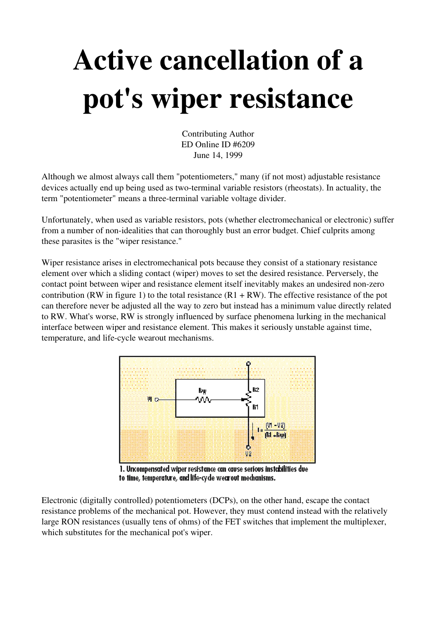## Active cancellation of a pot's wiper resistance

Contributing Author ED Online ID #6209 June 14, 1999

Although we almost always call them "potentiometers," many (if not most) adjustable resistance devices actually end up being used as two-terminal variable resistors (rheostats). In actuality, the term "potentiometer" means a three-terminal variable voltage divider.

Unfortunately, when used as variable resistors, pots (whether electromechanical or electronic) suffer from a number of non-idealities that can thoroughly bust an error budget. Chief culprits among these parasites is the "wiper resistance."

Wiper resistance arises in electromechanical pots because they consist of a stationary resistance element over which a sliding contact (wiper) moves to set the desired resistance. Perversely, the contact point between wiper and resistance element itself inevitably makes an undesired non-zero contribution (RW in figure 1) to the total resistance ( $R1 + RW$ ). The effective resistance of the pot can therefore never be adjusted all the way to zero but instead has a minimum value directly related to RW. What's worse, RW is strongly influenced by surface phenomena lurking in the mechanical interface between wiper and resistance element. This makes it seriously unstable against time, temperature, and life-cycle wearout mechanisms.



1. Uncompensated wiper resistance can cause serious instabilities due to time, temperature, and life-cycle wearout mechanisms.

Electronic (digitally controlled) potentiometers (DCPs), on the other hand, escape the contact resistance problems of the mechanical pot. However, they must contend instead with the relatively large RON resistances (usually tens of ohms) of the FET switches that implement the multiplexer, which substitutes for the mechanical pot's wiper.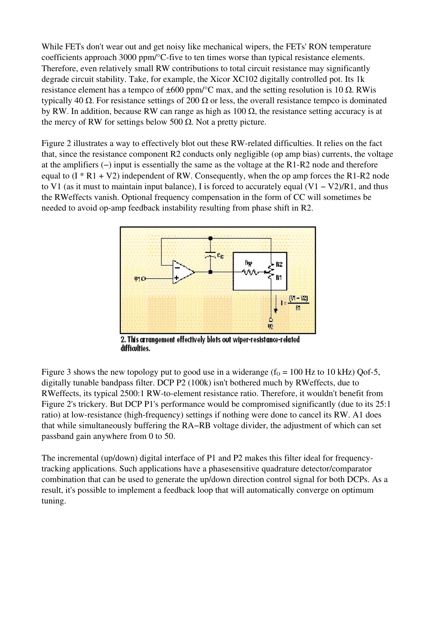While FETs don't wear out and get noisy like mechanical wipers, the FETs' RON temperature coefficients approach  $3000 \text{ ppm} / \textdegree$ C-five to ten times worse than typical resistance elements. Therefore, even relatively small RW contributions to total circuit resistance may significantly degrade circuit stability. Take, for example, the Xicor XC102 digitally controlled pot. Its 1k resistance element has a tempco of  $\pm 600$  ppm/°C max, and the setting resolution is 10 Ω. RWis typically 40 Ω. For resistance settings of 200 Ω or less, the overall resistance tempco is dominated by RW. In addition, because RW can range as high as  $100 \Omega$ , the resistance setting accuracy is at the mercy of RW for settings below 500  $\Omega$ . Not a pretty picture.

Figure 2 illustrates a way to effectively blot out these RW-related difficulties. It relies on the fact that, since the resistance component R2 conducts only negligible (op amp bias) currents, the voltage at the amplifiers (−) input is essentially the same as the voltage at the R1-R2 node and therefore equal to  $(I * R1 + V2)$  independent of RW. Consequently, when the op amp forces the R1-R2 node to V1 (as it must to maintain input balance), I is forced to accurately equal (V1 − V2)/R1, and thus the RWeffects vanish. Optional frequency compensation in the form of CC will sometimes be needed to avoid op-amp feedback instability resulting from phase shift in R2.



2. This arrangement effectively blots out wiper-resistance-related difficulties.

Figure 3 shows the new topology put to good use in a widerange ( $f<sub>0</sub> = 100$  Hz to 10 kHz) Qof-5, digitally tunable bandpass filter. DCP P2 (100k) isn't bothered much by RWeffects, due to RWeffects, its typical 2500:1 RW-to-element resistance ratio. Therefore, it wouldn't benefit from Figure 2's trickery. But DCP P1's performance would be compromised significantly (due to its 25:1 ratio) at low-resistance (high-frequency) settings if nothing were done to cancel its RW. A1 does that while simultaneously buffering the RA−RB voltage divider, the adjustment of which can set passband gain anywhere from 0 to 50.

The incremental (up/down) digital interface of P1 and P2 makes this filter ideal for frequencytracking applications. Such applications have a phasesensitive quadrature detector/comparator combination that can be used to generate the up/down direction control signal for both DCPs. As a result, it's possible to implement a feedback loop that will automatically converge on optimum tuning.